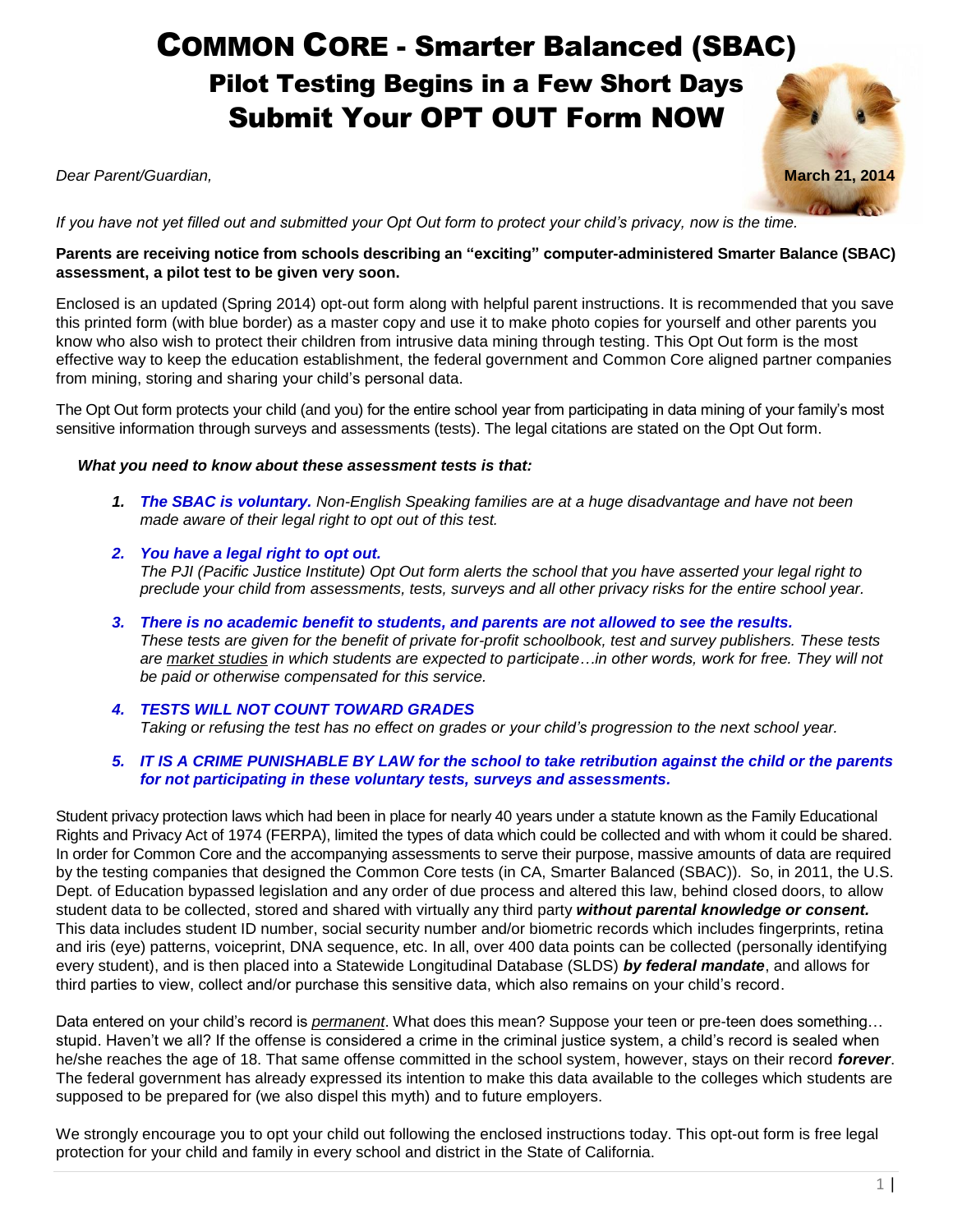# COMMON CORE - Smarter Balanced (SBAC) Pilot Testing Begins in a Few Short Days Submit Your OPT OUT Form NOW

*Dear Parent/Guardian,* **March 21, 2014**



*If you have not yet filled out and submitted your Opt Out form to protect your child's privacy, now is the time.*

#### **Parents are receiving notice from schools describing an "exciting" computer-administered Smarter Balance (SBAC) assessment, a pilot test to be given very soon.**

Enclosed is an updated (Spring 2014) opt-out form along with helpful parent instructions. It is recommended that you save this printed form (with blue border) as a master copy and use it to make photo copies for yourself and other parents you know who also wish to protect their children from intrusive data mining through testing. This Opt Out form is the most effective way to keep the education establishment, the federal government and Common Core aligned partner companies from mining, storing and sharing your child's personal data.

The Opt Out form protects your child (and you) for the entire school year from participating in data mining of your family's most sensitive information through surveys and assessments (tests). The legal citations are stated on the Opt Out form.

#### *What you need to know about these assessment tests is that:*

- *1. The SBAC is voluntary. Non-English Speaking families are at a huge disadvantage and have not been made aware of their legal right to opt out of this test.*
- *2. You have a legal right to opt out. The PJI (Pacific Justice Institute) Opt Out form alerts the school that you have asserted your legal right to preclude your child from assessments, tests, surveys and all other privacy risks for the entire school year.*
- *3. There is no academic benefit to students, and parents are not allowed to see the results. These tests are given for the benefit of private for-profit schoolbook, test and survey publishers. These tests are market studies in which students are expected to participate…in other words, work for free. They will not be paid or otherwise compensated for this service.*
- *4. TESTS WILL NOT COUNT TOWARD GRADES Taking or refusing the test has no effect on grades or your child's progression to the next school year.*

#### *5. IT IS A CRIME PUNISHABLE BY LAW for the school to take retribution against the child or the parents for not participating in these voluntary tests, surveys and assessments.*

Student privacy protection laws which had been in place for nearly 40 years under a statute known as the Family Educational Rights and Privacy Act of 1974 (FERPA), limited the types of data which could be collected and with whom it could be shared. In order for Common Core and the accompanying assessments to serve their purpose, massive amounts of data are required by the testing companies that designed the Common Core tests (in CA, Smarter Balanced (SBAC)). So, in 2011, the U.S. Dept. of Education bypassed legislation and any order of due process and altered this law, behind closed doors, to allow student data to be collected, stored and shared with virtually any third party *without parental knowledge or consent.* This data includes student ID number, social security number and/or biometric records which includes fingerprints, retina and iris (eye) patterns, voiceprint, DNA sequence, etc. In all, over 400 data points can be collected (personally identifying every student), and is then placed into a Statewide Longitudinal Database (SLDS) *by federal mandate*, and allows for third parties to view, collect and/or purchase this sensitive data, which also remains on your child's record.

Data entered on your child's record is *permanent*. What does this mean? Suppose your teen or pre-teen does something… stupid. Haven't we all? If the offense is considered a crime in the criminal justice system, a child's record is sealed when he/she reaches the age of 18. That same offense committed in the school system, however, stays on their record *forever*. The federal government has already expressed its intention to make this data available to the colleges which students are supposed to be prepared for (we also dispel this myth) and to future employers.

We strongly encourage you to opt your child out following the enclosed instructions today. This opt-out form is free legal protection for your child and family in every school and district in the State of California.